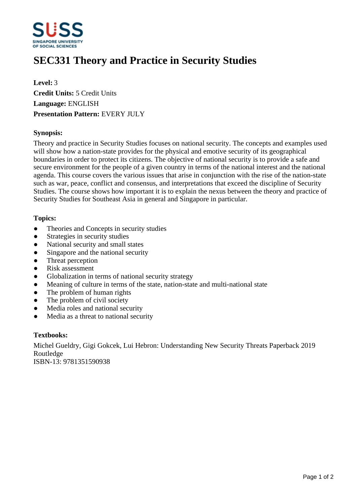

# **SEC331 Theory and Practice in Security Studies**

**Level:** 3 **Credit Units:** 5 Credit Units **Language:** ENGLISH **Presentation Pattern:** EVERY JULY

## **Synopsis:**

Theory and practice in Security Studies focuses on national security. The concepts and examples used will show how a nation-state provides for the physical and emotive security of its geographical boundaries in order to protect its citizens. The objective of national security is to provide a safe and secure environment for the people of a given country in terms of the national interest and the national agenda. This course covers the various issues that arise in conjunction with the rise of the nation-state such as war, peace, conflict and consensus, and interpretations that exceed the discipline of Security Studies. The course shows how important it is to explain the nexus between the theory and practice of Security Studies for Southeast Asia in general and Singapore in particular.

## **Topics:**

- Theories and Concepts in security studies
- Strategies in security studies
- National security and small states
- Singapore and the national security
- Threat perception
- Risk assessment
- Globalization in terms of national security strategy
- Meaning of culture in terms of the state, nation-state and multi-national state
- The problem of human rights
- $\bullet$  The problem of civil society
- Media roles and national security
- Media as a threat to national security

### **Textbooks:**

Michel Gueldry, Gigi Gokcek, Lui Hebron: Understanding New Security Threats Paperback 2019 Routledge

ISBN-13: 9781351590938